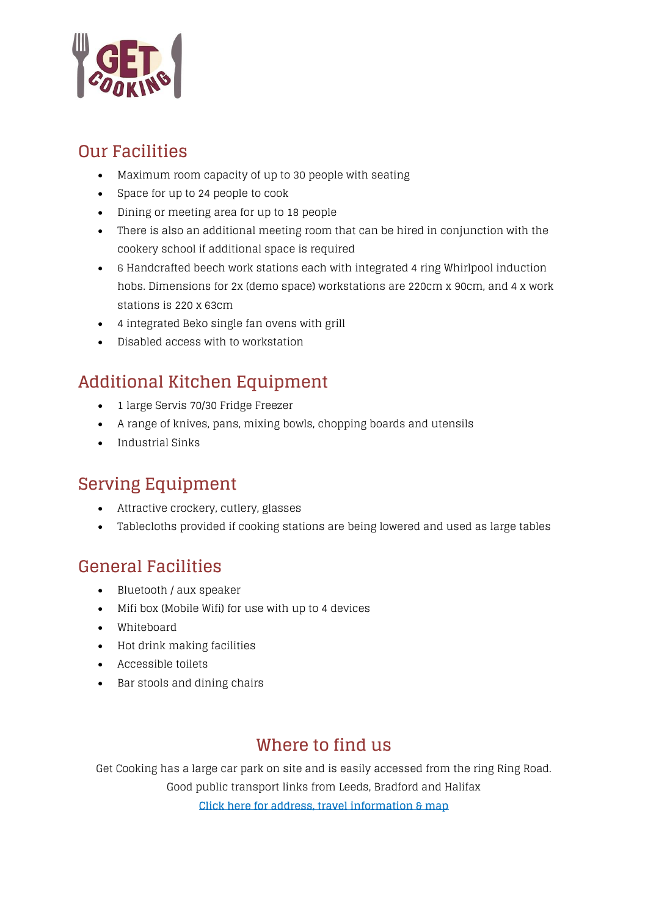

### **Our Facilities**

- Maximum room capacity of up to 30 people with seating
- Space for up to 24 people to cook
- Dining or meeting area for up to 18 people
- There is also an additional meeting room that can be hired in conjunction with the cookery school if additional space is required
- 6 Handcrafted beech work stations each with integrated 4 ring Whirlpool induction hobs. Dimensions for 2x (demo space) workstations are 220cm x 90cm, and 4 x work stations is 220 x 63cm
- 4 integrated Beko single fan ovens with grill
- Disabled access with to workstation

# **Additional Kitchen Equipment**

- 1 large Servis 70/30 Fridge Freezer
- A range of knives, pans, mixing bowls, chopping boards and utensils
- Industrial Sinks

## **Serving Equipment**

- Attractive crockery, cutlery, glasses
- Tablecloths provided if cooking stations are being lowered and used as large tables

### **General Facilities**

- Bluetooth / aux speaker
- Mifi box (Mobile Wifi) for use with up to 4 devices
- Whiteboard
- Hot drink making facilities
- Accessible toilets
- Bar stools and dining chairs

## **Where to find us**

Get Cooking has a large car park on site and is easily accessed from the ring Ring Road. Good public transport links from Leeds, Bradford and Halifax **[Click here for address, travel information & map](https://get-cooking.org.uk/contact-us/)**